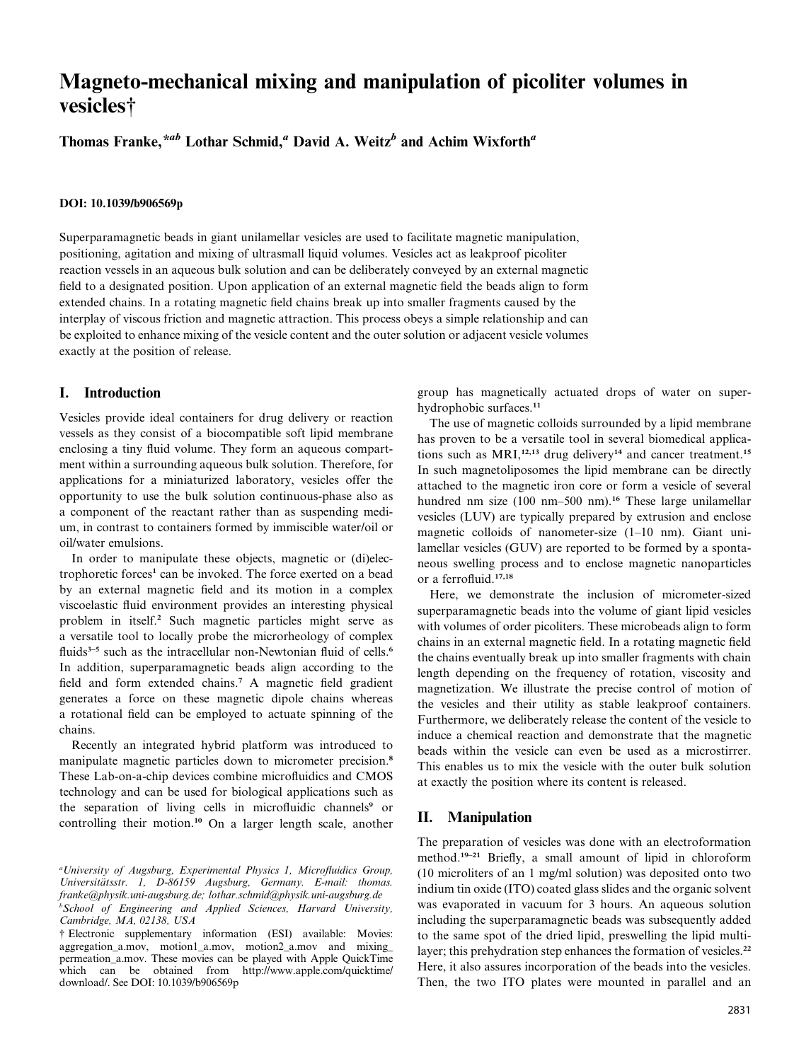# Magneto-mechanical mixing and manipulation of picoliter volumes in vesicles†

Thomas Franke,<sup>\*ab</sup> Lothar Schmid,<sup>a</sup> David A. Weitz<sup>b</sup> and Achim Wixforth<sup>a</sup>

#### DOI: 10.1039/b906569p

Superparamagnetic beads in giant unilamellar vesicles are used to facilitate magnetic manipulation, positioning, agitation and mixing of ultrasmall liquid volumes. Vesicles act as leakproof picoliter reaction vessels in an aqueous bulk solution and can be deliberately conveyed by an external magnetic field to a designated position. Upon application of an external magnetic field the beads align to form extended chains. In a rotating magnetic field chains break up into smaller fragments caused by the interplay of viscous friction and magnetic attraction. This process obeys a simple relationship and can be exploited to enhance mixing of the vesicle content and the outer solution or adjacent vesicle volumes exactly at the position of release.

## I. Introduction

Vesicles provide ideal containers for drug delivery or reaction vessels as they consist of a biocompatible soft lipid membrane enclosing a tiny fluid volume. They form an aqueous compartment within a surrounding aqueous bulk solution. Therefore, for applications for a miniaturized laboratory, vesicles offer the opportunity to use the bulk solution continuous-phase also as a component of the reactant rather than as suspending medium, in contrast to containers formed by immiscible water/oil or oil/water emulsions.

In order to manipulate these objects, magnetic or (di)electrophoretic forces 1 can be invoked. The force exerted on a bead by an external magnetic field and its motion in a complex viscoelastic fluid environment provides an interesting physical problem in itself. <sup>2</sup> Such magnetic particles might serve as a versatile tool to locally probe the microrheology of complex fluids<sup>3-5</sup> such as the intracellular non-Newtonian fluid of cells.<sup>6</sup> In addition, superparamagnetic beads align according to the field and form extended chains. <sup>7</sup> A magnetic field gradient generates a force on these magnetic dipole chains whereas a rotational field can be employed to actuate spinning of the chains.

Recently an integrated hybrid platform was introduced to manipulate magnetic particles down to micrometer precision. 8 These Lab-on-a-chip devices combine microfluidics and CMOS technology and can be used for biological applications such as the separation of living cells in microfluidic channels <sup>9</sup> or controlling their motion. <sup>10</sup> On a larger length scale, another

<sup>a</sup>University of Augsburg, Experimental Physics 1, Microfluidics Group, Universitätsstr. 1, D-86159 Augsburg, Germany. E-mail: thomas. franke@physik.uni-augsburg.de; lothar.schmid@physik.uni-augsburg.de <sup>b</sup>School of Engineering and Applied Sciences, Harvard University, Cambridge, MA, 02138, USA

† Electronic supplementary information (ESI) available: Movies: aggregation\_a.mov, motion1\_a.mov, motion2\_a.mov and mixing\_ permeation\_a.mov. These movies can be played with Apple QuickTime which can be obtained from http://www.apple.com/quicktime/ download/. See DOI: 10.1039/b906569p

group has magnetically actuated drops of water on superhydrophobic surfaces. 11

The use of magnetic colloids surrounded by a lipid membrane has proven to be a versatile tool in several biomedical applications such as  $MRI$ ,<sup>12,13</sup> drug delivery<sup>14</sup> and cancer treatment.<sup>15</sup> In such magnetoliposomes the lipid membrane can be directly attached to the magnetic iron core or form a vesicle of several hundred nm size (100 nm–500 nm).<sup>16</sup> These large unilamellar vesicles (LUV) are typically prepared by extrusion and enclose magnetic colloids of nanometer-size (1–10 nm). Giant unilamellar vesicles (GUV) are reported to be formed by a spontaneous swelling process and to enclose magnetic nanoparticles or a ferrofluid. 17,18

Here, we demonstrate the inclusion of micrometer-sized superparamagnetic beads into the volume of giant lipid vesicles with volumes of order picoliters. These microbeads align to form chains in an external magnetic field. In a rotating magnetic field the chains eventually break up into smaller fragments with chain length depending on the frequency of rotation, viscosity and magnetization. We illustrate the precise control of motion of the vesicles and their utility as stable leakproof containers. Furthermore, we deliberately release the content of the vesicle to induce a chemical reaction and demonstrate that the magnetic beads within the vesicle can even be used as a microstirrer. This enables us to mix the vesicle with the outer bulk solution at exactly the position where its content is released.

## II. Manipulation

The preparation of vesicles was done with an electroformation method. 19–21 Briefly, a small amount of lipid in chloroform (10 microliters of an 1 mg/ml solution) was deposited onto two indium tin oxide (ITO) coated glass slides and the organic solvent was evaporated in vacuum for 3 hours. An aqueous solution including the superparamagnetic beads was subsequently added to the same spot of the dried lipid, preswelling the lipid multilayer; this prehydration step enhances the formation of vesicles.<sup>22</sup> Here, it also assures incorporation of the beads into the vesicles. Then, the two ITO plates were mounted in parallel and an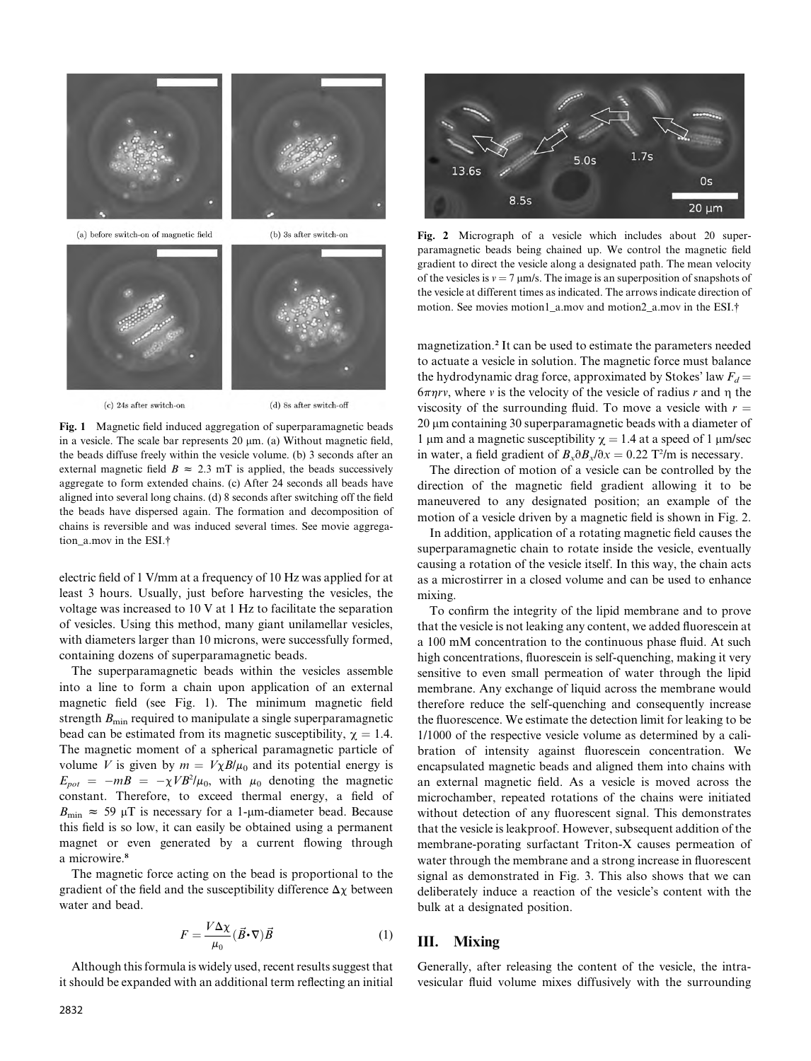

(c) 24s after switch-on

(d) 8s after switch-off

Fig. 1 Magnetic field induced aggregation of superparamagnetic beads in a vesicle. The scale bar represents  $20 \mu m$ . (a) Without magnetic field, the beads diffuse freely within the vesicle volume. (b) 3 seconds after an external magnetic field  $B \approx 2.3$  mT is applied, the beads successively aggregate to form extended chains. (c) After 24 seconds all beads have aligned into several long chains. (d) 8 seconds after switching off the field the beads have dispersed again. The formation and decomposition of chains is reversible and was induced several times. See movie aggregation a.mov in the ESI.<sup>†</sup>

electric field of 1 V/mm at a frequency of 10 Hz was applied for at least 3 hours. Usually, just before harvesting the vesicles, the voltage was increased to 10 V at 1 Hz to facilitate the separation of vesicles. Using this method, many giant unilamellar vesicles, with diameters larger than 10 microns, were successfully formed, containing dozens of superparamagnetic beads.

The superparamagnetic beads within the vesicles assemble into a line to form a chain upon application of an external magnetic field (see Fig. 1). The minimum magnetic field strength  $B_{\text{min}}$  required to manipulate a single superparamagnetic bead can be estimated from its magnetic susceptibility,  $\gamma = 1.4$ . The magnetic moment of a spherical paramagnetic particle of volume V is given by  $m = V\chi B/\mu_0$  and its potential energy is  $E_{pot} = -mB = -\chi V B^2/\mu_0$ , with  $\mu_0$  denoting the magnetic constant. Therefore, to exceed thermal energy, a field of  $B_{\text{min}} \approx 59 \mu T$  is necessary for a 1-um-diameter bead. Because this field is so low, it can easily be obtained using a permanent magnet or even generated by a current flowing through a microwire. 8

The magnetic force acting on the bead is proportional to the gradient of the field and the susceptibility difference  $\Delta \chi$  between water and bead.

$$
F = \frac{V\Delta\chi}{\mu_0} (\vec{B} \cdot \nabla)\vec{B}
$$
 (1)

Although this formula is widely used, recent results suggest that it should be expanded with an additional term reflecting an initial



Fig. 2 Micrograph of a vesicle which includes about 20 superparamagnetic beads being chained up. We control the magnetic field gradient to direct the vesicle along a designated path. The mean velocity of the vesicles is  $v = 7 \mu m/s$ . The image is an superposition of snapshots of the vesicle at different times as indicated. The arrows indicate direction of motion. See movies motion1 a.mov and motion2 a.mov in the ESI.<sup>†</sup>

magnetization. 2 It can be used to estimate the parameters needed to actuate a vesicle in solution. The magnetic force must balance the hydrodynamic drag force, approximated by Stokes' law  $F_d$  =  $6\pi\eta r v$ , where v is the velocity of the vesicle of radius r and  $\eta$  the viscosity of the surrounding fluid. To move a vesicle with  $r =$  $20 \mu$ m containing 30 superparamagnetic beads with a diameter of 1 µm and a magnetic susceptibility  $\chi = 1.4$  at a speed of 1 µm/sec in water, a field gradient of  $B_x \partial B_x / \partial x = 0.22$  T<sup>2</sup>/m is necessary.

The direction of motion of a vesicle can be controlled by the direction of the magnetic field gradient allowing it to be maneuvered to any designated position; an example of the motion of a vesicle driven by a magnetic field is shown in Fig. 2.

In addition, application of a rotating magnetic field causes the superparamagnetic chain to rotate inside the vesicle, eventually causing a rotation of the vesicle itself. In this way, the chain acts as a microstirrer in a closed volume and can be used to enhance mixing.

To confirm the integrity of the lipid membrane and to prove that the vesicle is not leaking any content, we added fluorescein at a 100 mM concentration to the continuous phase fluid. At such high concentrations, fluorescein is self-quenching, making it very sensitive to even small permeation of water through the lipid membrane. Any exchange of liquid across the membrane would therefore reduce the self-quenching and consequently increase the fluorescence. We estimate the detection limit for leaking to be 1/1000 of the respective vesicle volume as determined by a calibration of intensity against fluorescein concentration. We encapsulated magnetic beads and aligned them into chains with an external magnetic field. As a vesicle is moved across the microchamber, repeated rotations of the chains were initiated without detection of any fluorescent signal. This demonstrates that the vesicle is leakproof. However, subsequent addition of the membrane-porating surfactant Triton-X causes permeation of water through the membrane and a strong increase in fluorescent signal as demonstrated in Fig. 3. This also shows that we can deliberately induce a reaction of the vesicle's content with the bulk at a designated position.

# III. Mixing

Generally, after releasing the content of the vesicle, the intravesicular fluid volume mixes diffusively with the surrounding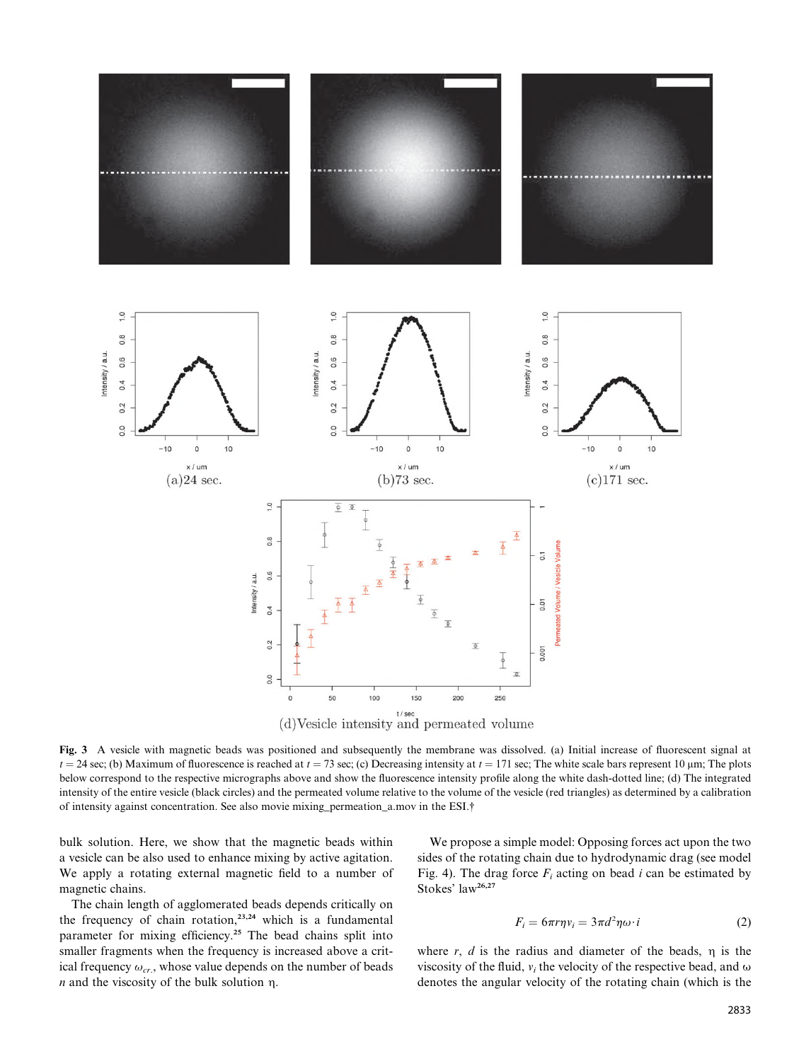

Fig. 3 A vesicle with magnetic beads was positioned and subsequently the membrane was dissolved. (a) Initial increase of fluorescent signal at  $t = 24$  sec; (b) Maximum of fluorescence is reached at  $t = 73$  sec; (c) Decreasing intensity at  $t = 171$  sec; The white scale bars represent 10 µm; The plots below correspond to the respective micrographs above and show the fluorescence intensity profile along the white dash-dotted line; (d) The integrated intensity of the entire vesicle (black circles) and the permeated volume relative to the volume of the vesicle (red triangles) as determined by a calibration of intensity against concentration. See also movie mixing\_permeation\_a.mov in the ESI.†

bulk solution. Here, we show that the magnetic beads within a vesicle can be also used to enhance mixing by active agitation. We apply a rotating external magnetic field to a number of magnetic chains.

The chain length of agglomerated beads depends critically on the frequency of chain rotation, 23,24 which is a fundamental parameter for mixing efficiency. <sup>25</sup> The bead chains split into smaller fragments when the frequency is increased above a critical frequency  $\omega_{cr}$ , whose value depends on the number of beads  $n$  and the viscosity of the bulk solution  $n$ .

We propose a simple model: Opposing forces act upon the two sides of the rotating chain due to hydrodynamic drag (see model Fig. 4). The drag force  $F_i$  acting on bead i can be estimated by Stokes' law 26,27

$$
F_i = 6\pi r \eta v_i = 3\pi d^2 \eta \omega \cdot i \tag{2}
$$

where r,  $d$  is the radius and diameter of the beads,  $\eta$  is the viscosity of the fluid,  $v_i$  the velocity of the respective bead, and  $\omega$ denotes the angular velocity of the rotating chain (which is the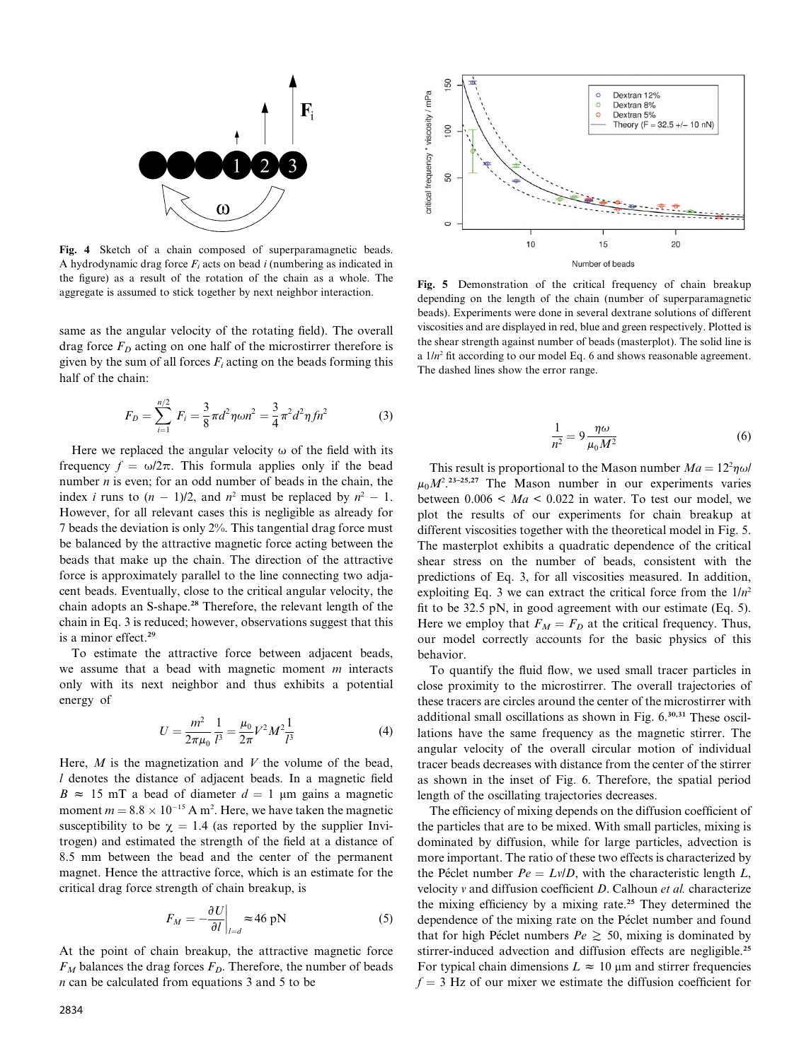

Fig. 4 Sketch of a chain composed of superparamagnetic beads. A hydrodynamic drag force  $F_i$  acts on bead i (numbering as indicated in the figure) as a result of the rotation of the chain as a whole. The aggregate is assumed to stick together by next neighbor interaction.

same as the angular velocity of the rotating field). The overall drag force  $F<sub>D</sub>$  acting on one half of the microstirrer therefore is given by the sum of all forces  $F_i$  acting on the beads forming this half of the chain:

$$
F_D = \sum_{i=1}^{n/2} F_i = \frac{3}{8} \pi d^2 \eta \omega n^2 = \frac{3}{4} \pi^2 d^2 \eta f n^2 \tag{3}
$$

Here we replaced the angular velocity  $\omega$  of the field with its frequency  $f = \omega/2\pi$ . This formula applies only if the bead number  $n$  is even; for an odd number of beads in the chain, the index *i* runs to  $(n - 1)/2$ , and  $n^2$  must be replaced by  $n^2 - 1$ . However, for all relevant cases this is negligible as already for 7 beads the deviation is only 2%. This tangential drag force must be balanced by the attractive magnetic force acting between the beads that make up the chain. The direction of the attractive force is approximately parallel to the line connecting two adjacent beads. Eventually, close to the critical angular velocity, the chain adopts an S-shape. <sup>28</sup> Therefore, the relevant length of the chain in Eq. 3 is reduced; however, observations suggest that this is a minor effect. 29

To estimate the attractive force between adjacent beads, we assume that a bead with magnetic moment  $m$  interacts only with its next neighbor and thus exhibits a potential energy of

$$
U = \frac{m^2}{2\pi\mu_0} \frac{1}{l^3} = \frac{\mu_0}{2\pi} V^2 M^2 \frac{1}{l^3}
$$
 (4)

Here,  $M$  is the magnetization and  $V$  the volume of the bead, l denotes the distance of adjacent beads. In a magnetic field  $B \approx 15$  mT a bead of diameter  $d = 1$  µm gains a magnetic moment  $m = 8.8 \times 10^{-15}$  A m<sup>2</sup>. Here, we have taken the magnetic susceptibility to be  $\chi = 1.4$  (as reported by the supplier Invitrogen) and estimated the strength of the field at a distance of 8.5 mm between the bead and the center of the permanent magnet. Hence the attractive force, which is an estimate for the critical drag force strength of chain breakup, is

$$
F_M = -\frac{\partial U}{\partial l}\bigg|_{l=d} \approx 46 \text{ pN}
$$
 (5)

At the point of chain breakup, the attractive magnetic force  $F_M$  balances the drag forces  $F_D$ . Therefore, the number of beads n can be calculated from equations 3 and 5 to be



Fig. 5 Demonstration of the critical frequency of chain breakup depending on the length of the chain (number of superparamagnetic beads). Experiments were done in several dextrane solutions of different viscosities and are displayed in red, blue and green respectively. Plotted is the shear strength against number of beads (masterplot). The solid line is a 1/n <sup>2</sup> fit according to our model Eq. 6 and shows reasonable agreement. The dashed lines show the error range.

$$
\frac{1}{n^2} = 9 \frac{\eta \omega}{\mu_0 M^2} \tag{6}
$$

This result is proportional to the Mason number  $Ma = 12^2 \eta \omega l$  $\mu_0 M^2$ <sup>23–25,27</sup> The Mason number in our experiments varies between  $0.006 \leq Ma \leq 0.022$  in water. To test our model, we plot the results of our experiments for chain breakup at different viscosities together with the theoretical model in Fig. 5. The masterplot exhibits a quadratic dependence of the critical shear stress on the number of beads, consistent with the predictions of Eq. 3, for all viscosities measured. In addition, exploiting Eq. 3 we can extract the critical force from the  $1/n^2$ fit to be 32.5 pN, in good agreement with our estimate (Eq. 5). Here we employ that  $F_M = F_D$  at the critical frequency. Thus, our model correctly accounts for the basic physics of this behavior.

To quantify the fluid flow, we used small tracer particles in close proximity to the microstirrer. The overall trajectories of these tracers are circles around the center of the microstirrer with additional small oscillations as shown in Fig. 6. 30,31 These oscillations have the same frequency as the magnetic stirrer. The angular velocity of the overall circular motion of individual tracer beads decreases with distance from the center of the stirrer as shown in the inset of Fig. 6. Therefore, the spatial period length of the oscillating trajectories decreases.

The efficiency of mixing depends on the diffusion coefficient of the particles that are to be mixed. With small particles, mixing is dominated by diffusion, while for large particles, advection is more important. The ratio of these two effects is characterized by the Péclet number  $Pe = Lv/D$ , with the characteristic length L, velocity  $v$  and diffusion coefficient  $D$ . Calhoun et al. characterize the mixing efficiency by a mixing rate. <sup>25</sup> They determined the dependence of the mixing rate on the Péclet number and found that for high Péclet numbers  $Pe \geq 50$ , mixing is dominated by stirrer-induced advection and diffusion effects are negligible.<sup>25</sup> For typical chain dimensions  $L \approx 10 \mu m$  and stirrer frequencies  $f = 3$  Hz of our mixer we estimate the diffusion coefficient for